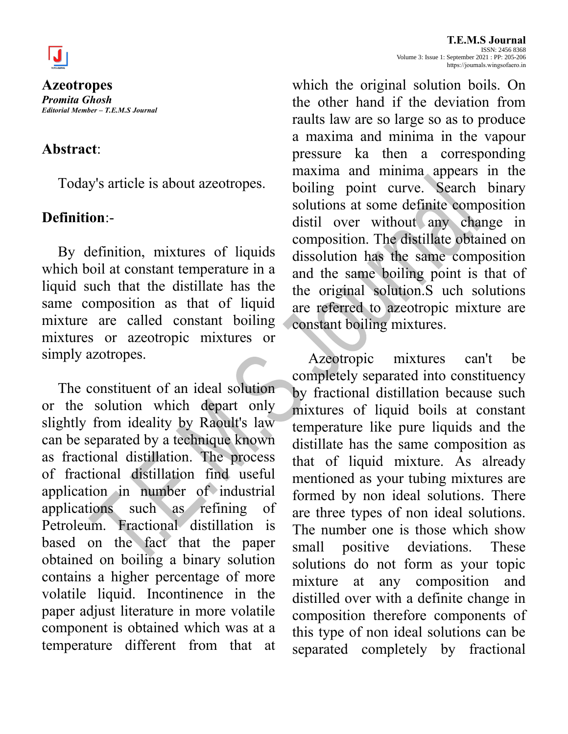

**Azeotropes** *Promita Ghosh Editorial Member – T.E.M.S Journal*

## **Abstract**:

Today's article is about azeotropes.

## **Definition**:-

By definition, mixtures of liquids which boil at constant temperature in a liquid such that the distillate has the same composition as that of liquid mixture are called constant boiling mixtures or azeotropic mixtures or simply azotropes.

The constituent of an ideal solution or the solution which depart only slightly from ideality by Raoult's law can be separated by a technique known as fractional distillation. The process of fractional distillation find useful application in number of industrial applications such as refining of Petroleum. Fractional distillation is based on the fact that the paper obtained on boiling a binary solution contains a higher percentage of more volatile liquid. Incontinence in the paper adjust literature in more volatile component is obtained which was at a temperature different from that at

which the original solution boils. On the other hand if the deviation from raults law are so large so as to produce a maxima and minima in the vapour pressure ka then a corresponding maxima and minima appears in the boiling point curve. Search binary solutions at some definite composition distil over without any change in composition. The distillate obtained on dissolution has the same composition and the same boiling point is that of the original solution.S uch solutions are referred to azeotropic mixture are constant boiling mixtures.

Azeotropic mixtures can't be completely separated into constituency by fractional distillation because such mixtures of liquid boils at constant temperature like pure liquids and the distillate has the same composition as that of liquid mixture. As already mentioned as your tubing mixtures are formed by non ideal solutions. There are three types of non ideal solutions. The number one is those which show small positive deviations. These solutions do not form as your topic mixture at any composition and distilled over with a definite change in composition therefore components of this type of non ideal solutions can be separated completely by fractional